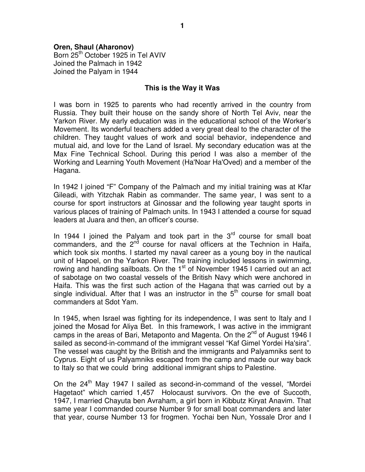# **Oren, Shaul (Aharonov)**

Born 25<sup>th</sup> October 1925 in Tel AVIV Joined the Palmach in 1942 Joined the Palyam in 1944

#### **This is the Way it Was**

I was born in 1925 to parents who had recently arrived in the country from Russia. They built their house on the sandy shore of North Tel Aviv, near the Yarkon River. My early education was in the educational school of the Worker's Movement. Its wonderful teachers added a very great deal to the character of the children. They taught values of work and social behavior, independence and mutual aid, and love for the Land of Israel. My secondary education was at the Max Fine Technical School. During this period I was also a member of the Working and Learning Youth Movement (Ha'Noar Ha'Oved) and a member of the Hagana.

In 1942 I joined "F" Company of the Palmach and my initial training was at Kfar Gileadi, with Yitzchak Rabin as commander. The same year, I was sent to a course for sport instructors at Ginossar and the following year taught sports in various places of training of Palmach units. In 1943 I attended a course for squad leaders at Juara and then, an officer's course.

In 1944 I joined the Palyam and took part in the  $3<sup>rd</sup>$  course for small boat commanders, and the  $2<sup>nd</sup>$  course for naval officers at the Technion in Haifa, which took six months. I started my naval career as a young boy in the nautical unit of Hapoel, on the Yarkon River. The training included lessons in swimming, rowing and handling sailboats. On the  $1<sup>st</sup>$  of November 1945 I carried out an act of sabotage on two coastal vessels of the British Navy which were anchored in Haifa. This was the first such action of the Hagana that was carried out by a single individual. After that I was an instructor in the  $5<sup>th</sup>$  course for small boat commanders at Sdot Yam.

In 1945, when Israel was fighting for its independence, I was sent to Italy and I joined the Mosad for Aliya Bet. In this framework, I was active in the immigrant camps in the areas of Bari, Metaponto and Magenta. On the 2<sup>nd</sup> of August 1946 I sailed as second-in-command of the immigrant vessel "Kaf Gimel Yordei Ha'sira". The vessel was caught by the British and the immigrants and Palyamniks sent to Cyprus. Eight of us Palyamniks escaped from the camp and made our way back to Italy so that we could bring additional immigrant ships to Palestine.

On the 24<sup>th</sup> May 1947 I sailed as second-in-command of the vessel, "Mordei Hagetaot" which carried 1,457 Holocaust survivors. On the eve of Succoth, 1947, I married Chayuta ben Avraham, a girl born in Kibbutz Kiryat Anavim. That same year I commanded course Number 9 for small boat commanders and later that year, course Number 13 for frogmen. Yochai ben Nun, Yossale Dror and I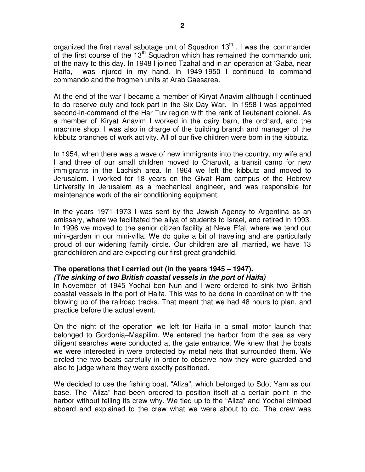organized the first naval sabotage unit of Squadron  $13<sup>th</sup>$ . I was the commander of the first course of the 13<sup>th</sup> Squadron which has remained the commando unit of the navy to this day. In 1948 I joined Tzahal and in an operation at 'Gaba, near Haifa, was injured in my hand. In 1949-1950 I continued to command commando and the frogmen units at Arab Caesarea.

At the end of the war I became a member of Kiryat Anavim although I continued to do reserve duty and took part in the Six Day War. In 1958 I was appointed second-in-command of the Har Tuv region with the rank of lieutenant colonel. As a member of Kiryat Anavim I worked in the dairy barn, the orchard, and the machine shop. I was also in charge of the building branch and manager of the kibbutz branches of work activity. All of our five children were born in the kibbutz.

In 1954, when there was a wave of new immigrants into the country, my wife and I and three of our small children moved to Charuvit, a transit camp for new immigrants in the Lachish area. In 1964 we left the kibbutz and moved to Jerusalem. I worked for 18 years on the Givat Ram campus of the Hebrew University in Jerusalem as a mechanical engineer, and was responsible for maintenance work of the air conditioning equipment.

In the years 1971-1973 I was sent by the Jewish Agency to Argentina as an emissary, where we facilitated the aliya of students to Israel, and retired in 1993. In 1996 we moved to the senior citizen facility at Neve Efal, where we tend our mini-garden in our mini-villa. We do quite a bit of traveling and are particularly proud of our widening family circle. Our children are all married, we have 13 grandchildren and are expecting our first great grandchild.

### **The operations that I carried out (in the years 1945 – 1947). (The sinking of two British coastal vessels in the port of Haifa)**

In November of 1945 Yochai ben Nun and I were ordered to sink two British coastal vessels in the port of Haifa. This was to be done in coordination with the blowing up of the railroad tracks. That meant that we had 48 hours to plan, and practice before the actual event.

On the night of the operation we left for Haifa in a small motor launch that belonged to Gordonia–Maapilim. We entered the harbor from the sea as very diligent searches were conducted at the gate entrance. We knew that the boats we were interested in were protected by metal nets that surrounded them. We circled the two boats carefully in order to observe how they were guarded and also to judge where they were exactly positioned.

We decided to use the fishing boat, "Aliza", which belonged to Sdot Yam as our base. The "Aliza" had been ordered to position itself at a certain point in the harbor without telling its crew why. We tied up to the "Aliza" and Yochai climbed aboard and explained to the crew what we were about to do. The crew was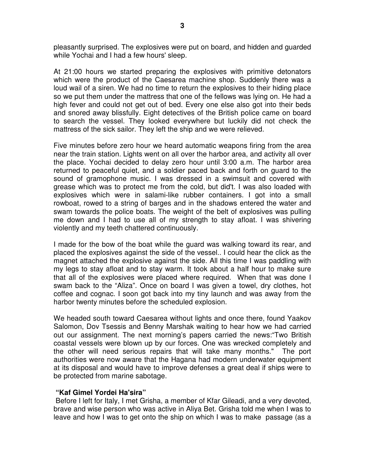pleasantly surprised. The explosives were put on board, and hidden and guarded while Yochai and I had a few hours' sleep.

At 21:00 hours we started preparing the explosives with primitive detonators which were the product of the Caesarea machine shop. Suddenly there was a loud wail of a siren. We had no time to return the explosives to their hiding place so we put them under the mattress that one of the fellows was lying on. He had a high fever and could not get out of bed. Every one else also got into their beds and snored away blissfully. Eight detectives of the British police came on board to search the vessel. They looked everywhere but luckily did not check the mattress of the sick sailor. They left the ship and we were relieved.

Five minutes before zero hour we heard automatic weapons firing from the area near the train station. Lights went on all over the harbor area, and activity all over the place. Yochai decided to delay zero hour until 3:00 a.m. The harbor area returned to peaceful quiet, and a soldier paced back and forth on guard to the sound of gramophone music. I was dressed in a swimsuit and covered with grease which was to protect me from the cold, but did't. I was also loaded with explosives which were in salami-like rubber containers. I got into a small rowboat, rowed to a string of barges and in the shadows entered the water and swam towards the police boats. The weight of the belt of explosives was pulling me down and I had to use all of my strength to stay afloat. I was shivering violently and my teeth chattered continuously.

I made for the bow of the boat while the guard was walking toward its rear, and placed the explosives against the side of the vessel.. I could hear the click as the magnet attached the explosive against the side. All this time I was paddling with my legs to stay afloat and to stay warm. It took about a half hour to make sure that all of the explosives were placed where required. When that was done I swam back to the "Aliza". Once on board I was given a towel, dry clothes, hot coffee and cognac. I soon got back into my tiny launch and was away from the harbor twenty minutes before the scheduled explosion.

We headed south toward Caesarea without lights and once there, found Yaakov Salomon, Dov Tsessis and Benny Marshak waiting to hear how we had carried out our assignment. The next morning's papers carried the news:"Two British coastal vessels were blown up by our forces. One was wrecked completely and the other will need serious repairs that will take many months." The port authorities were now aware that the Hagana had modern underwater equipment at its disposal and would have to improve defenses a great deal if ships were to be protected from marine sabotage.

## **"Kaf Gimel Yordei Ha'sira"**

 Before I left for Italy, I met Grisha, a member of Kfar Gileadi, and a very devoted, brave and wise person who was active in Aliya Bet. Grisha told me when I was to leave and how I was to get onto the ship on which I was to make passage (as a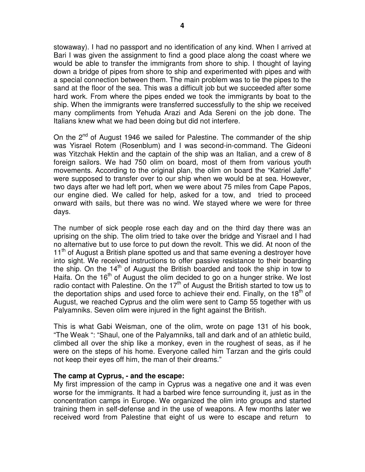stowaway). I had no passport and no identification of any kind. When I arrived at Bari I was given the assignment to find a good place along the coast where we would be able to transfer the immigrants from shore to ship. I thought of laying down a bridge of pipes from shore to ship and experimented with pipes and with a special connection between them. The main problem was to tie the pipes to the sand at the floor of the sea. This was a difficult job but we succeeded after some hard work. From where the pipes ended we took the immigrants by boat to the ship. When the immigrants were transferred successfully to the ship we received many compliments from Yehuda Arazi and Ada Sereni on the job done. The Italians knew what we had been doing but did not interfere.

On the 2<sup>nd</sup> of August 1946 we sailed for Palestine. The commander of the ship was Yisrael Rotem (Rosenblum) and I was second-in-command. The Gideoni was Yitzchak Hektin and the captain of the ship was an Italian, and a crew of 8 foreign sailors. We had 750 olim on board, most of them from various youth movements. According to the original plan, the olim on board the "Katriel Jaffe" were supposed to transfer over to our ship when we would be at sea. However, two days after we had left port, when we were about 75 miles from Cape Papos, our engine died. We called for help, asked for a tow, and tried to proceed onward with sails, but there was no wind. We stayed where we were for three days.

The number of sick people rose each day and on the third day there was an uprising on the ship. The olim tried to take over the bridge and Yisrael and I had no alternative but to use force to put down the revolt. This we did. At noon of the  $11<sup>th</sup>$  of August a British plane spotted us and that same evening a destroyer hove into sight. We received instructions to offer passive resistance to their boarding the ship. On the  $14<sup>th</sup>$  of August the British boarded and took the ship in tow to Haifa. On the  $16<sup>th</sup>$  of August the olim decided to go on a hunger strike. We lost radio contact with Palestine. On the  $17<sup>th</sup>$  of August the British started to tow us to the deportation ships and used force to achieve their end. Finally, on the 18<sup>th</sup> of August, we reached Cyprus and the olim were sent to Camp 55 together with us Palyamniks. Seven olim were injured in the fight against the British.

This is what Gabi Weisman, one of the olim, wrote on page 131 of his book, "The Weak ": "Shaul, one of the Palyamniks, tall and dark and of an athletic build, climbed all over the ship like a monkey, even in the roughest of seas, as if he were on the steps of his home. Everyone called him Tarzan and the girls could not keep their eyes off him, the man of their dreams."

#### **The camp at Cyprus, - and the escape:**

My first impression of the camp in Cyprus was a negative one and it was even worse for the immigrants. It had a barbed wire fence surrounding it, just as in the concentration camps in Europe. We organized the olim into groups and started training them in self-defense and in the use of weapons. A few months later we received word from Palestine that eight of us were to escape and return to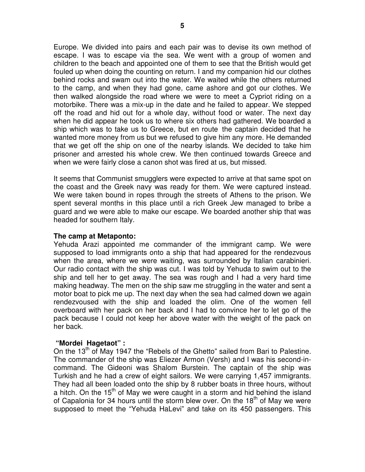Europe. We divided into pairs and each pair was to devise its own method of escape. I was to escape via the sea. We went with a group of women and children to the beach and appointed one of them to see that the British would get fouled up when doing the counting on return. I and my companion hid our clothes behind rocks and swam out into the water. We waited while the others returned to the camp, and when they had gone, came ashore and got our clothes. We then walked alongside the road where we were to meet a Cypriot riding on a motorbike. There was a mix-up in the date and he failed to appear. We stepped off the road and hid out for a whole day, without food or water. The next day when he did appear he took us to where six others had gathered. We boarded a ship which was to take us to Greece, but en route the captain decided that he wanted more money from us but we refused to give him any more. He demanded that we get off the ship on one of the nearby islands. We decided to take him prisoner and arrested his whole crew. We then continued towards Greece and when we were fairly close a canon shot was fired at us, but missed.

It seems that Communist smugglers were expected to arrive at that same spot on the coast and the Greek navy was ready for them. We were captured instead. We were taken bound in ropes through the streets of Athens to the prison. We spent several months in this place until a rich Greek Jew managed to bribe a guard and we were able to make our escape. We boarded another ship that was headed for southern Italy.

#### **The camp at Metaponto:**

Yehuda Arazi appointed me commander of the immigrant camp. We were supposed to load immigrants onto a ship that had appeared for the rendezvous when the area, where we were waiting, was surrounded by Italian carabinieri. Our radio contact with the ship was cut. I was told by Yehuda to swim out to the ship and tell her to get away. The sea was rough and I had a very hard time making headway. The men on the ship saw me struggling in the water and sent a motor boat to pick me up. The next day when the sea had calmed down we again rendezvoused with the ship and loaded the olim. One of the women fell overboard with her pack on her back and I had to convince her to let go of the pack because I could not keep her above water with the weight of the pack on her back.

## **"Mordei Hagetaot" :**

On the 13<sup>th</sup> of May 1947 the "Rebels of the Ghetto" sailed from Bari to Palestine. The commander of the ship was Eliezer Armon (Versh) and I was his second-incommand. The Gideoni was Shalom Burstein. The captain of the ship was Turkish and he had a crew of eight sailors. We were carrying 1,457 immigrants. They had all been loaded onto the ship by 8 rubber boats in three hours, without a hitch. On the 15<sup>th</sup> of May we were caught in a storm and hid behind the island of Capalonia for 34 hours until the storm blew over. On the  $18<sup>th</sup>$  of May we were supposed to meet the "Yehuda HaLevi" and take on its 450 passengers. This